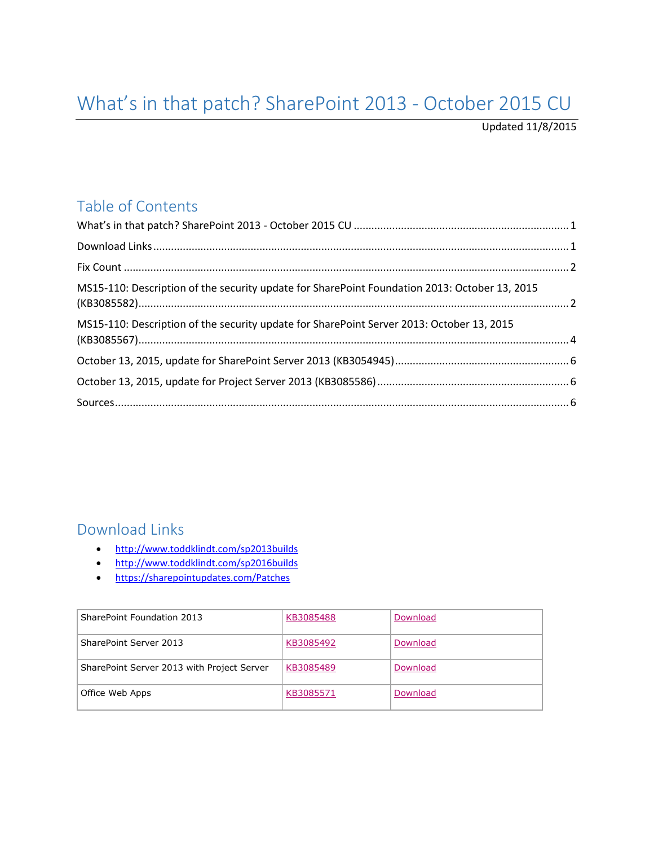# <span id="page-0-0"></span>What's in that patch? SharePoint 2013 - October 2015 CU

Updated 11/8/2015

## Table of Contents

| MS15-110: Description of the security update for SharePoint Foundation 2013: October 13, 2015 |  |
|-----------------------------------------------------------------------------------------------|--|
| MS15-110: Description of the security update for SharePoint Server 2013: October 13, 2015     |  |
|                                                                                               |  |
|                                                                                               |  |
|                                                                                               |  |

### <span id="page-0-1"></span>Download Links

- <http://www.toddklindt.com/sp2013builds>
- <http://www.toddklindt.com/sp2016builds>
- <https://sharepointupdates.com/Patches>

| SharePoint Foundation 2013                 | KB3085488 | Download |
|--------------------------------------------|-----------|----------|
| SharePoint Server 2013                     | KB3085492 | Download |
| SharePoint Server 2013 with Project Server | KB3085489 | Download |
| Office Web Apps                            | KB3085571 | Download |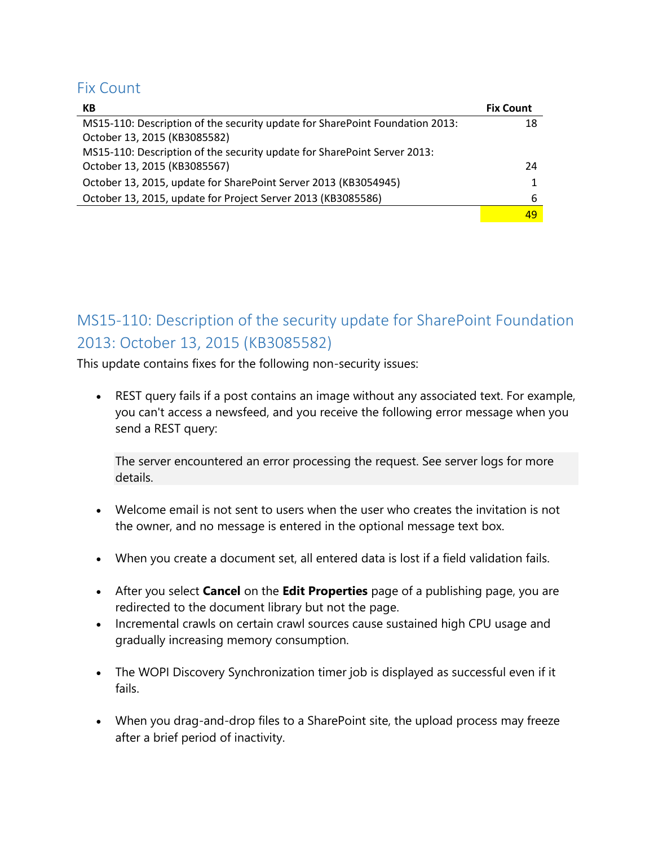#### <span id="page-1-0"></span>Fix Count

| КB                                                                           | <b>Fix Count</b> |
|------------------------------------------------------------------------------|------------------|
| MS15-110: Description of the security update for SharePoint Foundation 2013: | 18               |
| October 13, 2015 (KB3085582)                                                 |                  |
| MS15-110: Description of the security update for SharePoint Server 2013:     |                  |
| October 13, 2015 (KB3085567)                                                 | 24               |
| October 13, 2015, update for SharePoint Server 2013 (KB3054945)              |                  |
| October 13, 2015, update for Project Server 2013 (KB3085586)                 | 6                |
|                                                                              | 49               |

# <span id="page-1-1"></span>MS15-110: Description of the security update for SharePoint Foundation 2013: October 13, 2015 (KB3085582)

This update contains fixes for the following non-security issues:

 REST query fails if a post contains an image without any associated text. For example, you can't access a newsfeed, and you receive the following error message when you send a REST query:

The server encountered an error processing the request. See server logs for more details.

- Welcome email is not sent to users when the user who creates the invitation is not the owner, and no message is entered in the optional message text box.
- When you create a document set, all entered data is lost if a field validation fails.
- After you select **Cancel** on the **Edit Properties** page of a publishing page, you are redirected to the document library but not the page.
- Incremental crawls on certain crawl sources cause sustained high CPU usage and gradually increasing memory consumption.
- The WOPI Discovery Synchronization timer job is displayed as successful even if it fails.
- When you drag-and-drop files to a SharePoint site, the upload process may freeze after a brief period of inactivity.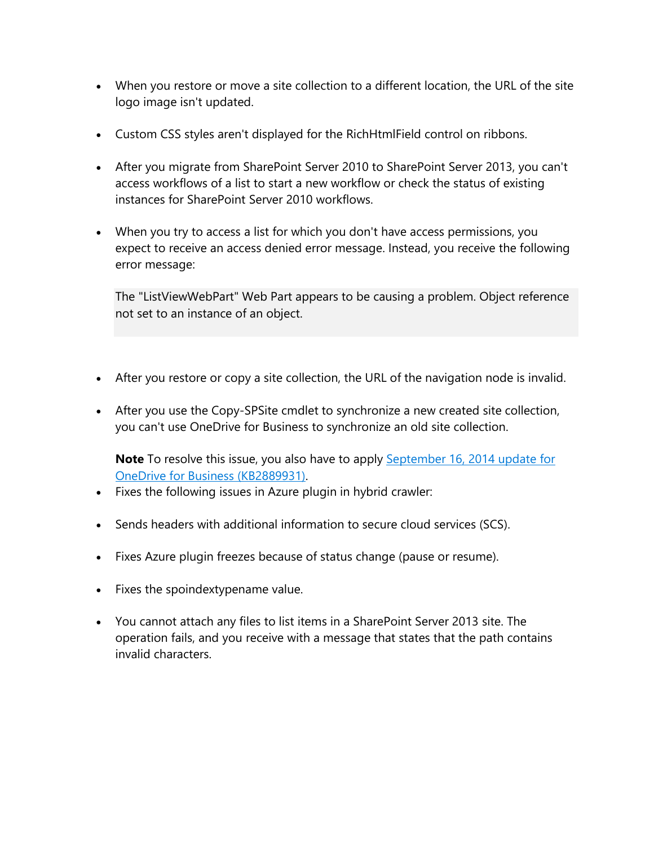- When you restore or move a site collection to a different location, the URL of the site logo image isn't updated.
- Custom CSS styles aren't displayed for the RichHtmlField control on ribbons.
- After you migrate from SharePoint Server 2010 to SharePoint Server 2013, you can't access workflows of a list to start a new workflow or check the status of existing instances for SharePoint Server 2010 workflows.
- When you try to access a list for which you don't have access permissions, you expect to receive an access denied error message. Instead, you receive the following error message:

The "ListViewWebPart" Web Part appears to be causing a problem. Object reference not set to an instance of an object.

- After you restore or copy a site collection, the URL of the navigation node is invalid.
- After you use the Copy-SPSite cmdlet to synchronize a new created site collection, you can't use OneDrive for Business to synchronize an old site collection.

**Note** To resolve this issue, you also have to apply [September 16, 2014 update for](https://support.microsoft.com/en-us/kb/2889931)  [OneDrive for Business \(KB2889931\).](https://support.microsoft.com/en-us/kb/2889931)

- Fixes the following issues in Azure plugin in hybrid crawler:
- Sends headers with additional information to secure cloud services (SCS).
- Fixes Azure plugin freezes because of status change (pause or resume).
- Fixes the spoindextypename value.
- You cannot attach any files to list items in a SharePoint Server 2013 site. The operation fails, and you receive with a message that states that the path contains invalid characters.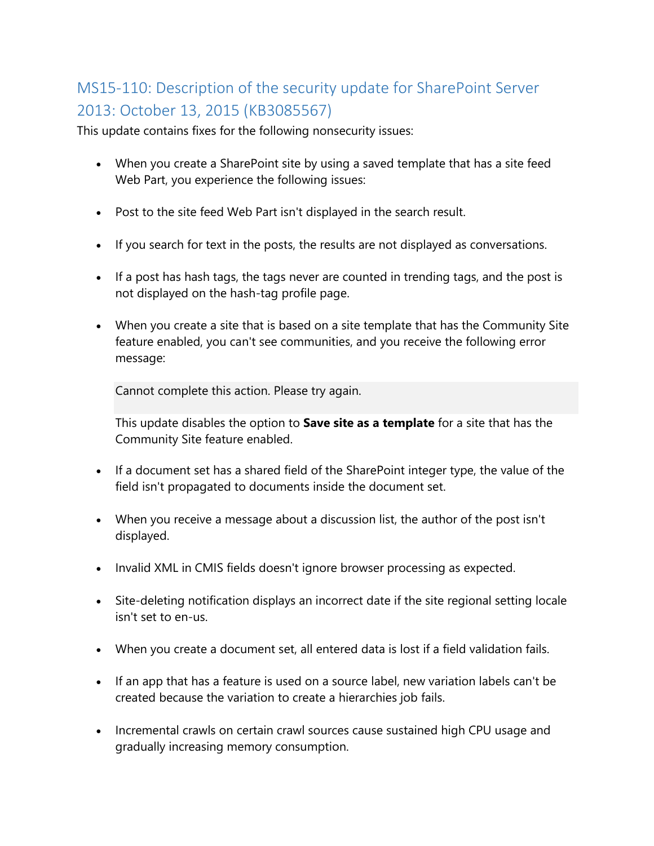# <span id="page-3-0"></span>MS15-110: Description of the security update for SharePoint Server 2013: October 13, 2015 (KB3085567)

This update contains fixes for the following nonsecurity issues:

- When you create a SharePoint site by using a saved template that has a site feed Web Part, you experience the following issues:
- Post to the site feed Web Part isn't displayed in the search result.
- If you search for text in the posts, the results are not displayed as conversations.
- If a post has hash tags, the tags never are counted in trending tags, and the post is not displayed on the hash-tag profile page.
- When you create a site that is based on a site template that has the Community Site feature enabled, you can't see communities, and you receive the following error message:

Cannot complete this action. Please try again.

This update disables the option to **Save site as a template** for a site that has the Community Site feature enabled.

- If a document set has a shared field of the SharePoint integer type, the value of the field isn't propagated to documents inside the document set.
- When you receive a message about a discussion list, the author of the post isn't displayed.
- Invalid XML in CMIS fields doesn't ignore browser processing as expected.
- Site-deleting notification displays an incorrect date if the site regional setting locale isn't set to en-us.
- When you create a document set, all entered data is lost if a field validation fails.
- If an app that has a feature is used on a source label, new variation labels can't be created because the variation to create a hierarchies job fails.
- Incremental crawls on certain crawl sources cause sustained high CPU usage and gradually increasing memory consumption.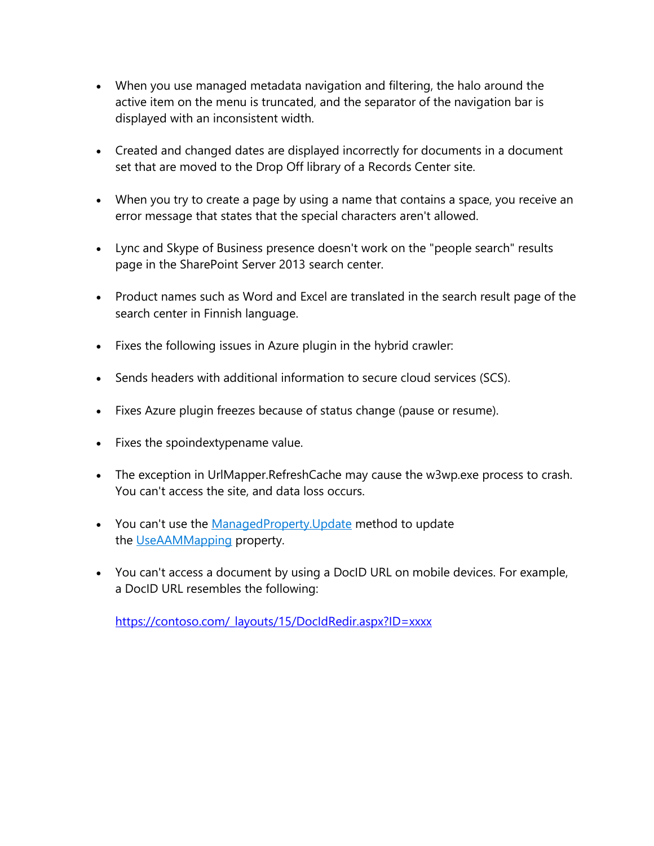- When you use managed metadata navigation and filtering, the halo around the active item on the menu is truncated, and the separator of the navigation bar is displayed with an inconsistent width.
- Created and changed dates are displayed incorrectly for documents in a document set that are moved to the Drop Off library of a Records Center site.
- When you try to create a page by using a name that contains a space, you receive an error message that states that the special characters aren't allowed.
- Lync and Skype of Business presence doesn't work on the "people search" results page in the SharePoint Server 2013 search center.
- Product names such as Word and Excel are translated in the search result page of the search center in Finnish language.
- Fixes the following issues in Azure plugin in the hybrid crawler:
- Sends headers with additional information to secure cloud services (SCS).
- Fixes Azure plugin freezes because of status change (pause or resume).
- Fixes the spoindextypename value.
- The exception in UrlMapper.RefreshCache may cause the w3wp.exe process to crash. You can't access the site, and data loss occurs.
- You can't use the [ManagedProperty.Update](https://msdn.microsoft.com/en-us/library/microsoft.office.server.search.administration.managedproperty.update.aspx) method to update the [UseAAMMapping](https://msdn.microsoft.com/EN-US/Library/microsoft.office.server.search.administration.managedproperty.useaammapping.aspx) property.
- You can't access a document by using a DocID URL on mobile devices. For example, a DocID URL resembles the following:

https://contoso.com/ layouts/15/DocIdRedir.aspx?ID=xxxx